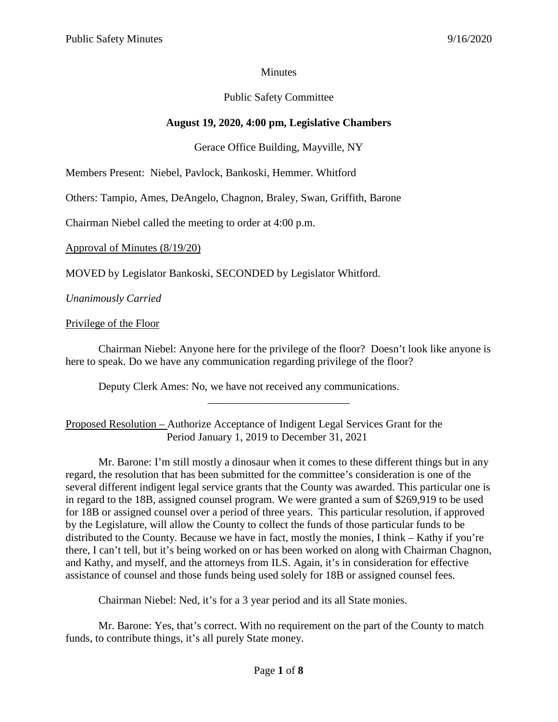## **Minutes**

# Public Safety Committee

# **August 19, 2020, 4:00 pm, Legislative Chambers**

## Gerace Office Building, Mayville, NY

Members Present: Niebel, Pavlock, Bankoski, Hemmer. Whitford

Others: Tampio, Ames, DeAngelo, Chagnon, Braley, Swan, Griffith, Barone

Chairman Niebel called the meeting to order at 4:00 p.m.

Approval of Minutes (8/19/20)

MOVED by Legislator Bankoski, SECONDED by Legislator Whitford.

*Unanimously Carried*

### Privilege of the Floor

Chairman Niebel: Anyone here for the privilege of the floor? Doesn't look like anyone is here to speak. Do we have any communication regarding privilege of the floor?

\_\_\_\_\_\_\_\_\_\_\_\_\_\_\_\_\_\_\_\_\_\_\_\_\_\_

Deputy Clerk Ames: No, we have not received any communications.

# Proposed Resolution – Authorize Acceptance of Indigent Legal Services Grant for the Period January 1, 2019 to December 31, 2021

Mr. Barone: I'm still mostly a dinosaur when it comes to these different things but in any regard, the resolution that has been submitted for the committee's consideration is one of the several different indigent legal service grants that the County was awarded. This particular one is in regard to the 18B, assigned counsel program. We were granted a sum of \$269,919 to be used for 18B or assigned counsel over a period of three years. This particular resolution, if approved by the Legislature, will allow the County to collect the funds of those particular funds to be distributed to the County. Because we have in fact, mostly the monies, I think – Kathy if you're there, I can't tell, but it's being worked on or has been worked on along with Chairman Chagnon, and Kathy, and myself, and the attorneys from ILS. Again, it's in consideration for effective assistance of counsel and those funds being used solely for 18B or assigned counsel fees.

Chairman Niebel: Ned, it's for a 3 year period and its all State monies.

Mr. Barone: Yes, that's correct. With no requirement on the part of the County to match funds, to contribute things, it's all purely State money.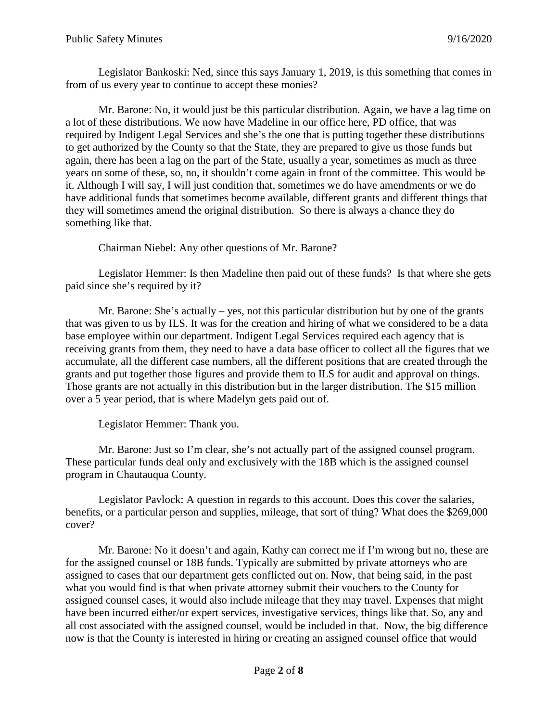Legislator Bankoski: Ned, since this says January 1, 2019, is this something that comes in from of us every year to continue to accept these monies?

Mr. Barone: No, it would just be this particular distribution. Again, we have a lag time on a lot of these distributions. We now have Madeline in our office here, PD office, that was required by Indigent Legal Services and she's the one that is putting together these distributions to get authorized by the County so that the State, they are prepared to give us those funds but again, there has been a lag on the part of the State, usually a year, sometimes as much as three years on some of these, so, no, it shouldn't come again in front of the committee. This would be it. Although I will say, I will just condition that, sometimes we do have amendments or we do have additional funds that sometimes become available, different grants and different things that they will sometimes amend the original distribution. So there is always a chance they do something like that.

Chairman Niebel: Any other questions of Mr. Barone?

Legislator Hemmer: Is then Madeline then paid out of these funds? Is that where she gets paid since she's required by it?

Mr. Barone: She's actually – yes, not this particular distribution but by one of the grants that was given to us by ILS. It was for the creation and hiring of what we considered to be a data base employee within our department. Indigent Legal Services required each agency that is receiving grants from them, they need to have a data base officer to collect all the figures that we accumulate, all the different case numbers, all the different positions that are created through the grants and put together those figures and provide them to ILS for audit and approval on things. Those grants are not actually in this distribution but in the larger distribution. The \$15 million over a 5 year period, that is where Madelyn gets paid out of.

Legislator Hemmer: Thank you.

Mr. Barone: Just so I'm clear, she's not actually part of the assigned counsel program. These particular funds deal only and exclusively with the 18B which is the assigned counsel program in Chautauqua County.

Legislator Pavlock: A question in regards to this account. Does this cover the salaries, benefits, or a particular person and supplies, mileage, that sort of thing? What does the \$269,000 cover?

Mr. Barone: No it doesn't and again, Kathy can correct me if I'm wrong but no, these are for the assigned counsel or 18B funds. Typically are submitted by private attorneys who are assigned to cases that our department gets conflicted out on. Now, that being said, in the past what you would find is that when private attorney submit their vouchers to the County for assigned counsel cases, it would also include mileage that they may travel. Expenses that might have been incurred either/or expert services, investigative services, things like that. So, any and all cost associated with the assigned counsel, would be included in that. Now, the big difference now is that the County is interested in hiring or creating an assigned counsel office that would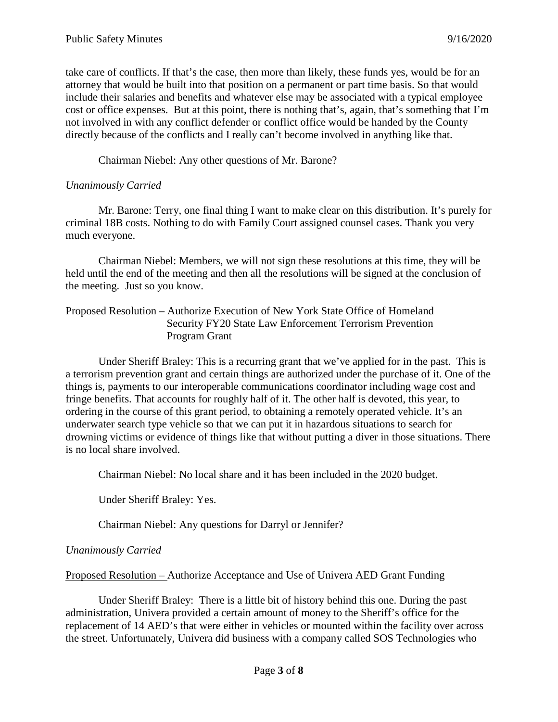take care of conflicts. If that's the case, then more than likely, these funds yes, would be for an attorney that would be built into that position on a permanent or part time basis. So that would include their salaries and benefits and whatever else may be associated with a typical employee cost or office expenses. But at this point, there is nothing that's, again, that's something that I'm not involved in with any conflict defender or conflict office would be handed by the County directly because of the conflicts and I really can't become involved in anything like that.

Chairman Niebel: Any other questions of Mr. Barone?

# *Unanimously Carried*

Mr. Barone: Terry, one final thing I want to make clear on this distribution. It's purely for criminal 18B costs. Nothing to do with Family Court assigned counsel cases. Thank you very much everyone.

Chairman Niebel: Members, we will not sign these resolutions at this time, they will be held until the end of the meeting and then all the resolutions will be signed at the conclusion of the meeting. Just so you know.

### Proposed Resolution – Authorize Execution of New York State Office of Homeland Security FY20 State Law Enforcement Terrorism Prevention Program Grant

Under Sheriff Braley: This is a recurring grant that we've applied for in the past. This is a terrorism prevention grant and certain things are authorized under the purchase of it. One of the things is, payments to our interoperable communications coordinator including wage cost and fringe benefits. That accounts for roughly half of it. The other half is devoted, this year, to ordering in the course of this grant period, to obtaining a remotely operated vehicle. It's an underwater search type vehicle so that we can put it in hazardous situations to search for drowning victims or evidence of things like that without putting a diver in those situations. There is no local share involved.

Chairman Niebel: No local share and it has been included in the 2020 budget.

Under Sheriff Braley: Yes.

Chairman Niebel: Any questions for Darryl or Jennifer?

### *Unanimously Carried*

Proposed Resolution – Authorize Acceptance and Use of Univera AED Grant Funding

Under Sheriff Braley: There is a little bit of history behind this one. During the past administration, Univera provided a certain amount of money to the Sheriff's office for the replacement of 14 AED's that were either in vehicles or mounted within the facility over across the street. Unfortunately, Univera did business with a company called SOS Technologies who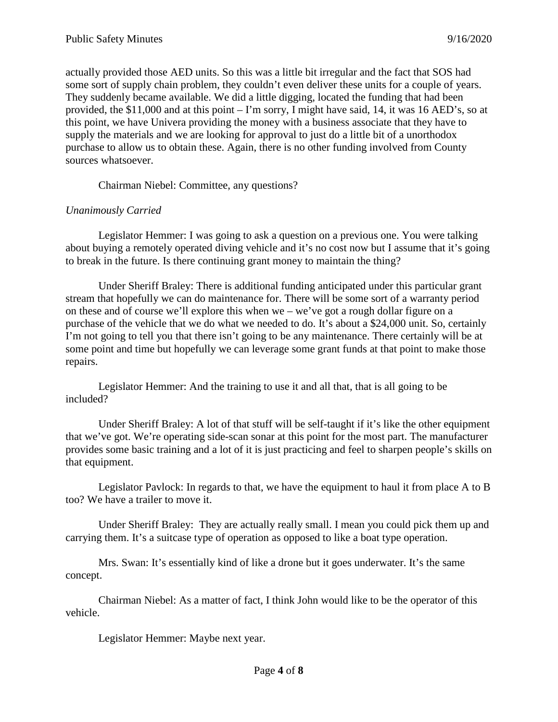actually provided those AED units. So this was a little bit irregular and the fact that SOS had some sort of supply chain problem, they couldn't even deliver these units for a couple of years. They suddenly became available. We did a little digging, located the funding that had been provided, the \$11,000 and at this point – I'm sorry, I might have said, 14, it was 16 AED's, so at this point, we have Univera providing the money with a business associate that they have to supply the materials and we are looking for approval to just do a little bit of a unorthodox purchase to allow us to obtain these. Again, there is no other funding involved from County sources whatsoever.

Chairman Niebel: Committee, any questions?

# *Unanimously Carried*

Legislator Hemmer: I was going to ask a question on a previous one. You were talking about buying a remotely operated diving vehicle and it's no cost now but I assume that it's going to break in the future. Is there continuing grant money to maintain the thing?

Under Sheriff Braley: There is additional funding anticipated under this particular grant stream that hopefully we can do maintenance for. There will be some sort of a warranty period on these and of course we'll explore this when we – we've got a rough dollar figure on a purchase of the vehicle that we do what we needed to do. It's about a \$24,000 unit. So, certainly I'm not going to tell you that there isn't going to be any maintenance. There certainly will be at some point and time but hopefully we can leverage some grant funds at that point to make those repairs.

Legislator Hemmer: And the training to use it and all that, that is all going to be included?

Under Sheriff Braley: A lot of that stuff will be self-taught if it's like the other equipment that we've got. We're operating side-scan sonar at this point for the most part. The manufacturer provides some basic training and a lot of it is just practicing and feel to sharpen people's skills on that equipment.

Legislator Pavlock: In regards to that, we have the equipment to haul it from place A to B too? We have a trailer to move it.

Under Sheriff Braley: They are actually really small. I mean you could pick them up and carrying them. It's a suitcase type of operation as opposed to like a boat type operation.

Mrs. Swan: It's essentially kind of like a drone but it goes underwater. It's the same concept.

Chairman Niebel: As a matter of fact, I think John would like to be the operator of this vehicle.

Legislator Hemmer: Maybe next year.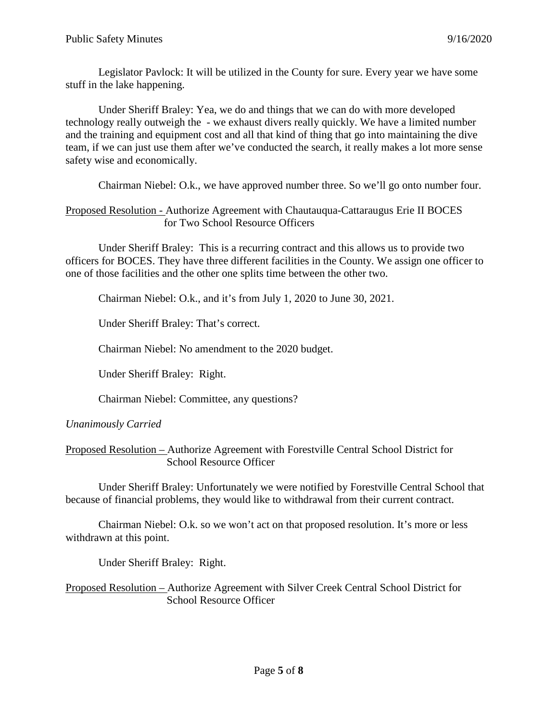Legislator Pavlock: It will be utilized in the County for sure. Every year we have some stuff in the lake happening.

Under Sheriff Braley: Yea, we do and things that we can do with more developed technology really outweigh the - we exhaust divers really quickly. We have a limited number and the training and equipment cost and all that kind of thing that go into maintaining the dive team, if we can just use them after we've conducted the search, it really makes a lot more sense safety wise and economically.

Chairman Niebel: O.k., we have approved number three. So we'll go onto number four.

### Proposed Resolution - Authorize Agreement with Chautauqua-Cattaraugus Erie II BOCES for Two School Resource Officers

Under Sheriff Braley: This is a recurring contract and this allows us to provide two officers for BOCES. They have three different facilities in the County. We assign one officer to one of those facilities and the other one splits time between the other two.

Chairman Niebel: O.k., and it's from July 1, 2020 to June 30, 2021.

Under Sheriff Braley: That's correct.

Chairman Niebel: No amendment to the 2020 budget.

Under Sheriff Braley: Right.

Chairman Niebel: Committee, any questions?

#### *Unanimously Carried*

Proposed Resolution – Authorize Agreement with Forestville Central School District for School Resource Officer

Under Sheriff Braley: Unfortunately we were notified by Forestville Central School that because of financial problems, they would like to withdrawal from their current contract.

Chairman Niebel: O.k. so we won't act on that proposed resolution. It's more or less withdrawn at this point.

Under Sheriff Braley: Right.

Proposed Resolution – Authorize Agreement with Silver Creek Central School District for School Resource Officer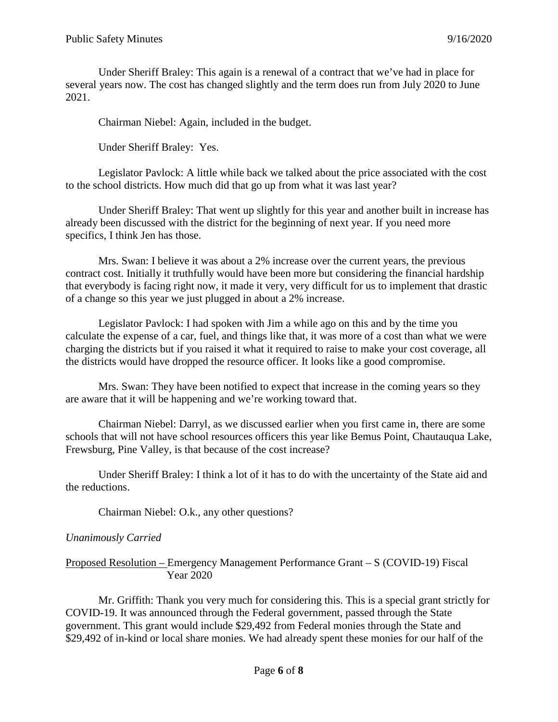Under Sheriff Braley: This again is a renewal of a contract that we've had in place for several years now. The cost has changed slightly and the term does run from July 2020 to June 2021.

Chairman Niebel: Again, included in the budget.

Under Sheriff Braley: Yes.

Legislator Pavlock: A little while back we talked about the price associated with the cost to the school districts. How much did that go up from what it was last year?

Under Sheriff Braley: That went up slightly for this year and another built in increase has already been discussed with the district for the beginning of next year. If you need more specifics, I think Jen has those.

Mrs. Swan: I believe it was about a 2% increase over the current years, the previous contract cost. Initially it truthfully would have been more but considering the financial hardship that everybody is facing right now, it made it very, very difficult for us to implement that drastic of a change so this year we just plugged in about a 2% increase.

Legislator Pavlock: I had spoken with Jim a while ago on this and by the time you calculate the expense of a car, fuel, and things like that, it was more of a cost than what we were charging the districts but if you raised it what it required to raise to make your cost coverage, all the districts would have dropped the resource officer. It looks like a good compromise.

Mrs. Swan: They have been notified to expect that increase in the coming years so they are aware that it will be happening and we're working toward that.

Chairman Niebel: Darryl, as we discussed earlier when you first came in, there are some schools that will not have school resources officers this year like Bemus Point, Chautauqua Lake, Frewsburg, Pine Valley, is that because of the cost increase?

Under Sheriff Braley: I think a lot of it has to do with the uncertainty of the State aid and the reductions.

Chairman Niebel: O.k., any other questions?

### *Unanimously Carried*

### Proposed Resolution – Emergency Management Performance Grant – S (COVID-19) Fiscal Year 2020

Mr. Griffith: Thank you very much for considering this. This is a special grant strictly for COVID-19. It was announced through the Federal government, passed through the State government. This grant would include \$29,492 from Federal monies through the State and \$29,492 of in-kind or local share monies. We had already spent these monies for our half of the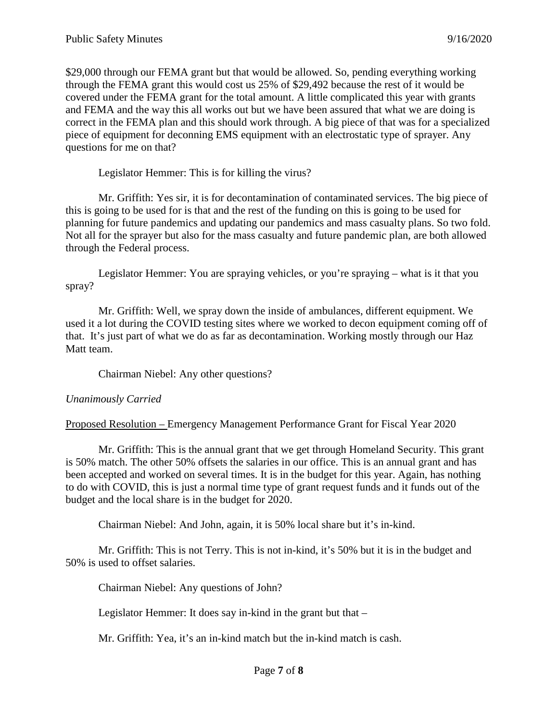\$29,000 through our FEMA grant but that would be allowed. So, pending everything working through the FEMA grant this would cost us 25% of \$29,492 because the rest of it would be covered under the FEMA grant for the total amount. A little complicated this year with grants and FEMA and the way this all works out but we have been assured that what we are doing is correct in the FEMA plan and this should work through. A big piece of that was for a specialized piece of equipment for deconning EMS equipment with an electrostatic type of sprayer. Any questions for me on that?

Legislator Hemmer: This is for killing the virus?

Mr. Griffith: Yes sir, it is for decontamination of contaminated services. The big piece of this is going to be used for is that and the rest of the funding on this is going to be used for planning for future pandemics and updating our pandemics and mass casualty plans. So two fold. Not all for the sprayer but also for the mass casualty and future pandemic plan, are both allowed through the Federal process.

Legislator Hemmer: You are spraying vehicles, or you're spraying – what is it that you spray?

Mr. Griffith: Well, we spray down the inside of ambulances, different equipment. We used it a lot during the COVID testing sites where we worked to decon equipment coming off of that. It's just part of what we do as far as decontamination. Working mostly through our Haz Matt team.

Chairman Niebel: Any other questions?

#### *Unanimously Carried*

Proposed Resolution – Emergency Management Performance Grant for Fiscal Year 2020

Mr. Griffith: This is the annual grant that we get through Homeland Security. This grant is 50% match. The other 50% offsets the salaries in our office. This is an annual grant and has been accepted and worked on several times. It is in the budget for this year. Again, has nothing to do with COVID, this is just a normal time type of grant request funds and it funds out of the budget and the local share is in the budget for 2020.

Chairman Niebel: And John, again, it is 50% local share but it's in-kind.

Mr. Griffith: This is not Terry. This is not in-kind, it's 50% but it is in the budget and 50% is used to offset salaries.

Chairman Niebel: Any questions of John?

Legislator Hemmer: It does say in-kind in the grant but that –

Mr. Griffith: Yea, it's an in-kind match but the in-kind match is cash.